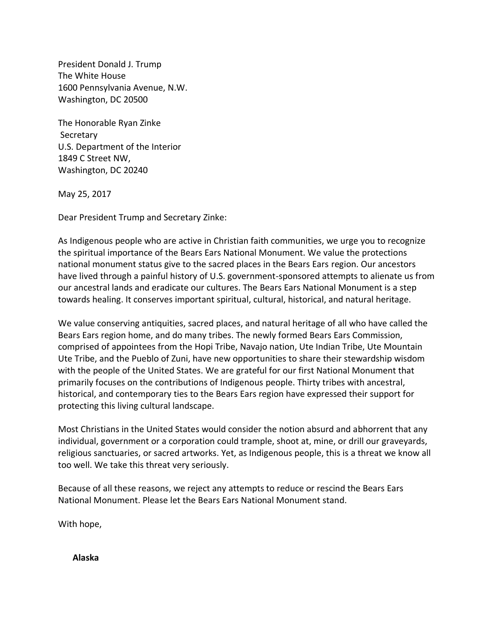President Donald J. Trump The White House 1600 Pennsylvania Avenue, N.W. Washington, DC 20500

The Honorable Ryan Zinke Secretary U.S. Department of the Interior 1849 C Street NW, Washington, DC 20240

May 25, 2017

Dear President Trump and Secretary Zinke:

As Indigenous people who are active in Christian faith communities, we urge you to recognize the spiritual importance of the Bears Ears National Monument. We value the protections national monument status give to the sacred places in the Bears Ears region. Our ancestors have lived through a painful history of U.S. government-sponsored attempts to alienate us from our ancestral lands and eradicate our cultures. The Bears Ears National Monument is a step towards healing. It conserves important spiritual, cultural, historical, and natural heritage.

We value conserving antiquities, sacred places, and natural heritage of all who have called the Bears Ears region home, and do many tribes. The newly formed Bears Ears Commission, comprised of appointees from the Hopi Tribe, Navajo nation, Ute Indian Tribe, Ute Mountain Ute Tribe, and the Pueblo of Zuni, have new opportunities to share their stewardship wisdom with the people of the United States. We are grateful for our first National Monument that primarily focuses on the contributions of Indigenous people. Thirty tribes with ancestral, historical, and contemporary ties to the Bears Ears region have expressed their support for protecting this living cultural landscape.

Most Christians in the United States would consider the notion absurd and abhorrent that any individual, government or a corporation could trample, shoot at, mine, or drill our graveyards, religious sanctuaries, or sacred artworks. Yet, as Indigenous people, this is a threat we know all too well. We take this threat very seriously.

Because of all these reasons, we reject any attempts to reduce or rescind the Bears Ears National Monument. Please let the Bears Ears National Monument stand.

With hope,

**Alaska**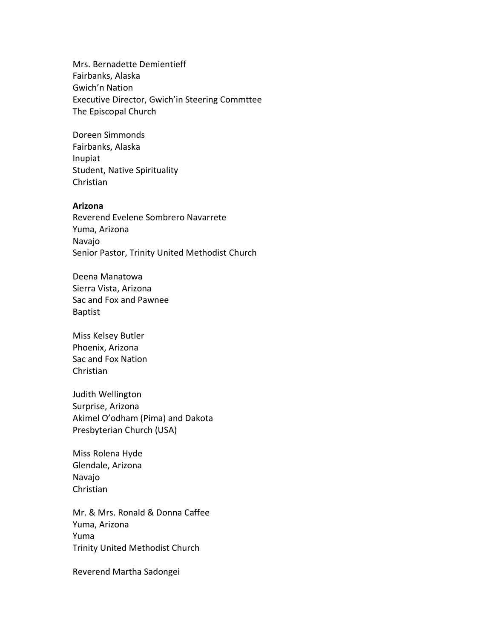Mrs. Bernadette Demientieff Fairbanks, Alaska Gwich'n Nation Executive Director, Gwich'in Steering Commttee The Episcopal Church

Doreen Simmonds Fairbanks, Alaska Inupiat Student, Native Spirituality Christian

#### **Arizona**

Reverend Evelene Sombrero Navarrete Yuma, Arizona Navajo Senior Pastor, Trinity United Methodist Church

Deena Manatowa Sierra Vista, Arizona Sac and Fox and Pawnee Baptist

Miss Kelsey Butler Phoenix, Arizona Sac and Fox Nation Christian

Judith Wellington Surprise, Arizona Akimel O'odham (Pima) and Dakota Presbyterian Church (USA)

Miss Rolena Hyde Glendale, Arizona Navajo Christian

Mr. & Mrs. Ronald & Donna Caffee Yuma, Arizona Yuma Trinity United Methodist Church

Reverend Martha Sadongei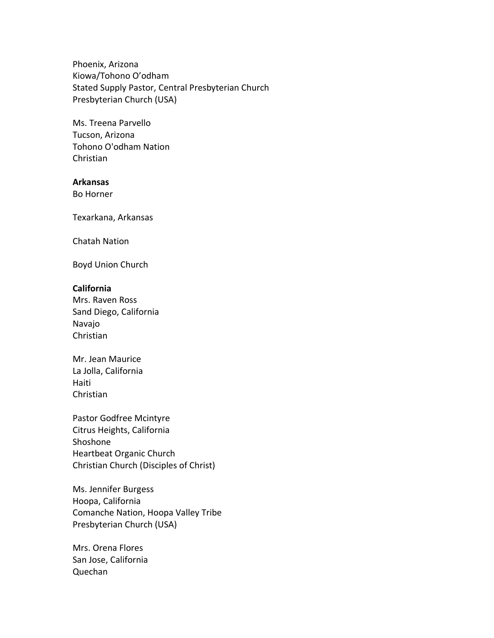Phoenix, Arizona Kiowa/Tohono O'odham Stated Supply Pastor, Central Presbyterian Church Presbyterian Church (USA)

Ms. Treena Parvello Tucson, Arizona Tohono O'odham Nation Christian

## **Arkansas**

Bo Horner

Texarkana, Arkansas

Chatah Nation

Boyd Union Church

## **California**

Mrs. Raven Ross Sand Diego, California Navajo Christian

Mr. Jean Maurice La Jolla, California Haiti Christian

Pastor Godfree Mcintyre Citrus Heights, California Shoshone Heartbeat Organic Church Christian Church (Disciples of Christ)

Ms. Jennifer Burgess Hoopa, California Comanche Nation, Hoopa Valley Tribe Presbyterian Church (USA)

Mrs. Orena Flores San Jose, California Quechan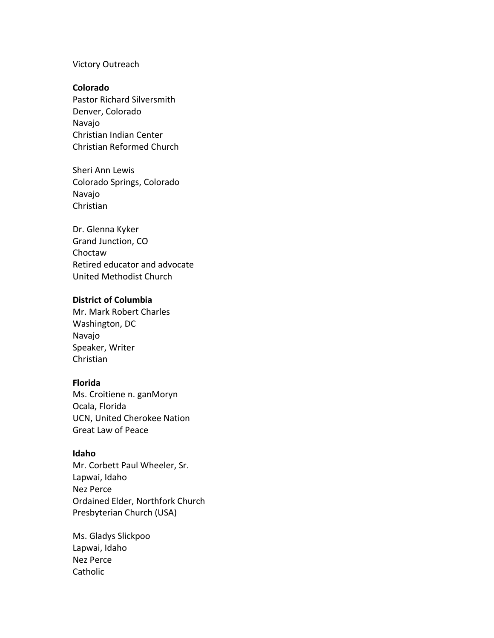## Victory Outreach

#### **Colorado**

Pastor Richard Silversmith Denver, Colorado Navajo Christian Indian Center Christian Reformed Church

Sheri Ann Lewis Colorado Springs, Colorado Navajo Christian

Dr. Glenna Kyker Grand Junction, CO Choctaw Retired educator and advocate United Methodist Church

#### **District of Columbia**

Mr. Mark Robert Charles Washington, DC Navajo Speaker, Writer Christian

# **Florida**

Ms. Croitiene n. ganMoryn Ocala, Florida UCN, United Cherokee Nation Great Law of Peace

## **Idaho**

Mr. Corbett Paul Wheeler, Sr. Lapwai, Idaho Nez Perce Ordained Elder, Northfork Church Presbyterian Church (USA)

Ms. Gladys Slickpoo Lapwai, Idaho Nez Perce **Catholic**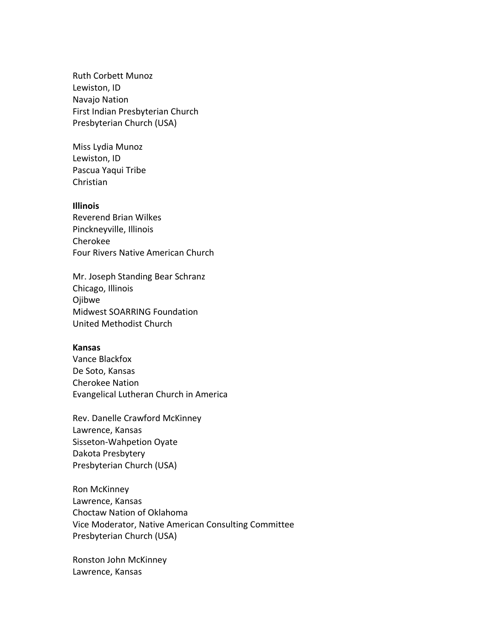Ruth Corbett Munoz Lewiston, ID Navajo Nation First Indian Presbyterian Church Presbyterian Church (USA)

Miss Lydia Munoz Lewiston, ID Pascua Yaqui Tribe Christian

## **Illinois**

Reverend Brian Wilkes Pinckneyville, Illinois Cherokee Four Rivers Native American Church

Mr. Joseph Standing Bear Schranz Chicago, Illinois Ojibwe Midwest SOARRING Foundation United Methodist Church

## **Kansas**

Vance Blackfox De Soto, Kansas Cherokee Nation Evangelical Lutheran Church in America

Rev. Danelle Crawford McKinney Lawrence, Kansas Sisseton-Wahpetion Oyate Dakota Presbytery Presbyterian Church (USA)

Ron McKinney Lawrence, Kansas Choctaw Nation of Oklahoma Vice Moderator, Native American Consulting Committee Presbyterian Church (USA)

Ronston John McKinney Lawrence, Kansas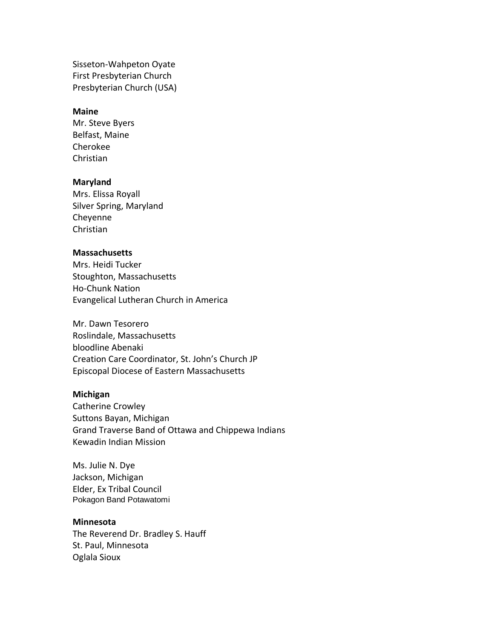Sisseton-Wahpeton Oyate First Presbyterian Church Presbyterian Church (USA)

## **Maine**

Mr. Steve Byers Belfast, Maine Cherokee Christian

#### **Maryland**

Mrs. Elissa Royall Silver Spring, Maryland Cheyenne Christian

## **Massachusetts**

Mrs. Heidi Tucker Stoughton, Massachusetts Ho-Chunk Nation Evangelical Lutheran Church in America

Mr. Dawn Tesorero Roslindale, Massachusetts bloodline Abenaki Creation Care Coordinator, St. John's Church JP Episcopal Diocese of Eastern Massachusetts

#### **Michigan**

Catherine Crowley Suttons Bayan, Michigan Grand Traverse Band of Ottawa and Chippewa Indians Kewadin Indian Mission

Ms. Julie N. Dye Jackson, Michigan Elder, Ex Tribal Council Pokagon Band Potawatomi

#### **Minnesota**

The Reverend Dr. Bradley S. Hauff St. Paul, Minnesota Oglala Sioux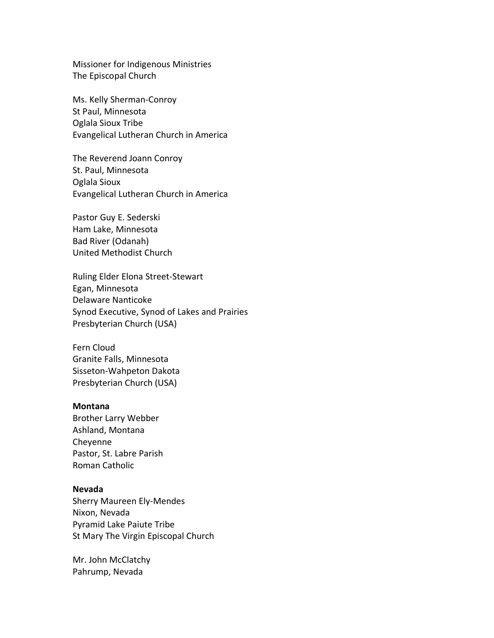Missioner for Indigenous Ministries The Episcopal Church

Ms. Kelly Sherman-Conroy St Paul, Minnesota Oglala Sioux Tribe Evangelical Lutheran Church in America

The Reverend Joann Conroy St. Paul, Minnesota Oglala Sioux Evangelical Lutheran Church in America

Pastor Guy E. Sederski Ham Lake, Minnesota Bad River (Odanah) United Methodist Church

Ruling Elder Elona Street-Stewart Egan, Minnesota Delaware Nanticoke Synod Executive, Synod of Lakes and Prairies Presbyterian Church (USA)

Fern Cloud Granite Falls, Minnesota Sisseton-Wahpeton Dakota Presbyterian Church (USA)

#### **Montana**

Brother Larry Webber Ashland, Montana Cheyenne Pastor, St. Labre Parish Roman Catholic

## **Nevada**

Sherry Maureen Ely-Mendes Nixon, Nevada Pyramid Lake Paiute Tribe St Mary The Virgin Episcopal Church

Mr. John McClatchy Pahrump, Nevada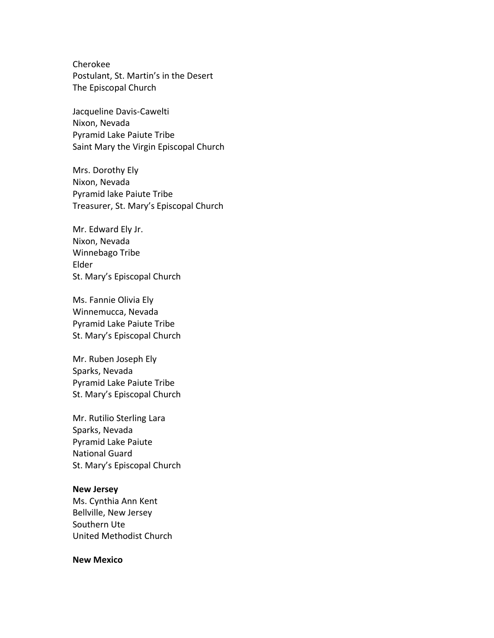Cherokee Postulant, St. Martin's in the Desert The Episcopal Church

Jacqueline Davis-Cawelti Nixon, Nevada Pyramid Lake Paiute Tribe Saint Mary the Virgin Episcopal Church

Mrs. Dorothy Ely Nixon, Nevada Pyramid lake Paiute Tribe Treasurer, St. Mary's Episcopal Church

Mr. Edward Ely Jr. Nixon, Nevada Winnebago Tribe Elder St. Mary's Episcopal Church

Ms. Fannie Olivia Ely Winnemucca, Nevada Pyramid Lake Paiute Tribe St. Mary's Episcopal Church

Mr. Ruben Joseph Ely Sparks, Nevada Pyramid Lake Paiute Tribe St. Mary's Episcopal Church

Mr. Rutilio Sterling Lara Sparks, Nevada Pyramid Lake Paiute National Guard St. Mary's Episcopal Church

#### **New Jersey**

Ms. Cynthia Ann Kent Bellville, New Jersey Southern Ute United Methodist Church

#### **New Mexico**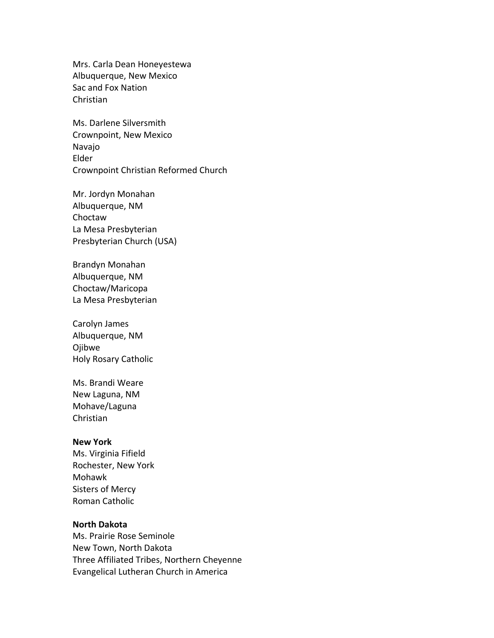Mrs. Carla Dean Honeyestewa Albuquerque, New Mexico Sac and Fox Nation Christian

Ms. Darlene Silversmith Crownpoint, New Mexico Navajo Elder Crownpoint Christian Reformed Church

Mr. Jordyn Monahan Albuquerque, NM Choctaw La Mesa Presbyterian Presbyterian Church (USA)

Brandyn Monahan Albuquerque, NM Choctaw/Maricopa La Mesa Presbyterian

Carolyn James Albuquerque, NM Ojibwe Holy Rosary Catholic

Ms. Brandi Weare New Laguna, NM Mohave/Laguna Christian

#### **New York**

Ms. Virginia Fifield Rochester, New York Mohawk Sisters of Mercy Roman Catholic

# **North Dakota**

Ms. Prairie Rose Seminole New Town, North Dakota Three Affiliated Tribes, Northern Cheyenne Evangelical Lutheran Church in America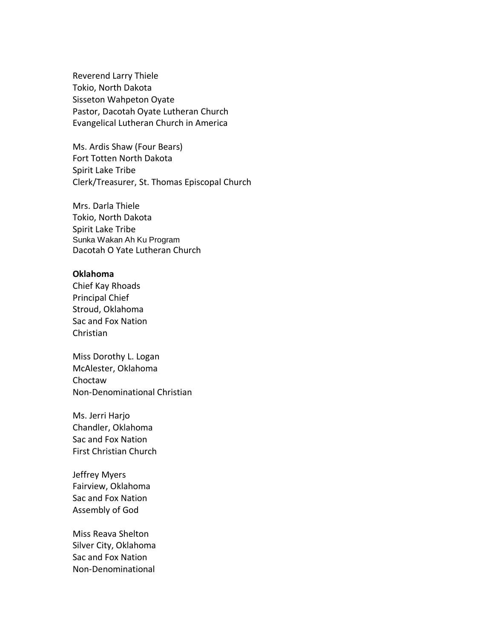Reverend Larry Thiele Tokio, North Dakota Sisseton Wahpeton Oyate Pastor, Dacotah Oyate Lutheran Church Evangelical Lutheran Church in America

Ms. Ardis Shaw (Four Bears) Fort Totten North Dakota Spirit Lake Tribe Clerk/Treasurer, St. Thomas Episcopal Church

Mrs. Darla Thiele Tokio, North Dakota Spirit Lake Tribe Sunka Wakan Ah Ku Program Dacotah O Yate Lutheran Church

## **Oklahoma**

Chief Kay Rhoads Principal Chief Stroud, Oklahoma Sac and Fox Nation Christian

Miss Dorothy L. Logan McAlester, Oklahoma Choctaw Non-Denominational Christian

Ms. Jerri Harjo Chandler, Oklahoma Sac and Fox Nation First Christian Church

Jeffrey Myers Fairview, Oklahoma Sac and Fox Nation Assembly of God

Miss Reava Shelton Silver City, Oklahoma Sac and Fox Nation Non-Denominational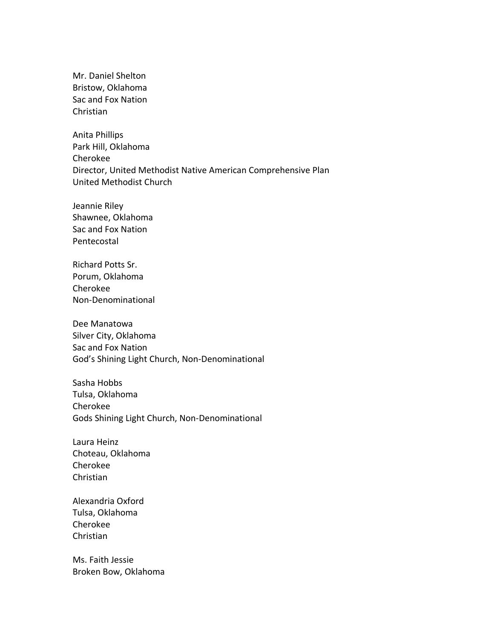Mr. Daniel Shelton Bristow, Oklahoma Sac and Fox Nation Christian

Anita Phillips Park Hill, Oklahoma Cherokee Director, United Methodist Native American Comprehensive Plan United Methodist Church

Jeannie Riley Shawnee, Oklahoma Sac and Fox Nation Pentecostal

Richard Potts Sr. Porum, Oklahoma Cherokee Non-Denominational

Dee Manatowa Silver City, Oklahoma Sac and Fox Nation God's Shining Light Church, Non-Denominational

Sasha Hobbs Tulsa, Oklahoma Cherokee Gods Shining Light Church, Non-Denominational

Laura Heinz Choteau, Oklahoma Cherokee Christian

Alexandria Oxford Tulsa, Oklahoma Cherokee Christian

Ms. Faith Jessie Broken Bow, Oklahoma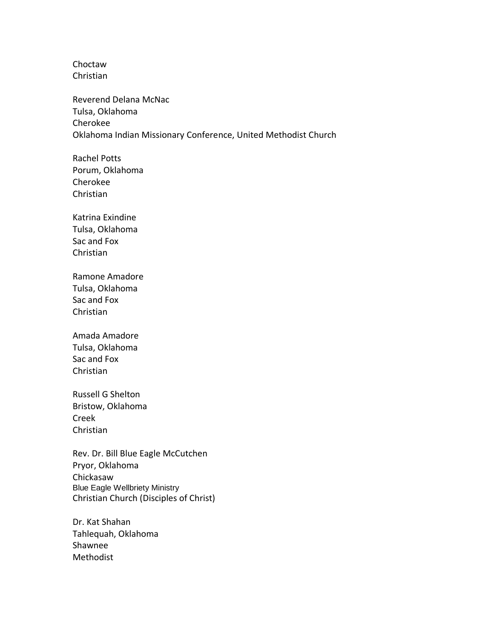Choctaw Christian

Reverend Delana McNac Tulsa, Oklahoma Cherokee Oklahoma Indian Missionary Conference, United Methodist Church

Rachel Potts Porum, Oklahoma Cherokee Christian

Katrina Exindine Tulsa, Oklahoma Sac and Fox Christian

Ramone Amadore Tulsa, Oklahoma Sac and Fox Christian

Amada Amadore Tulsa, Oklahoma Sac and Fox Christian

Russell G Shelton Bristow, Oklahoma Creek Christian

Rev. Dr. Bill Blue Eagle McCutchen Pryor, Oklahoma Chickasaw Blue Eagle Wellbriety Ministry Christian Church (Disciples of Christ)

Dr. Kat Shahan Tahlequah, Oklahoma Shawnee Methodist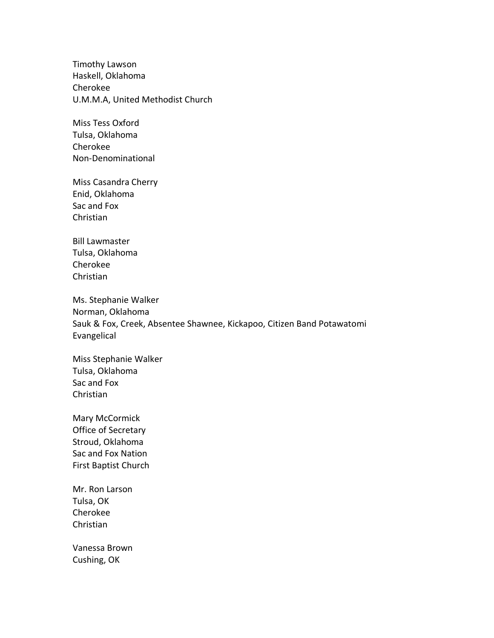Timothy Lawson Haskell, Oklahoma Cherokee U.M.M.A, United Methodist Church

Miss Tess Oxford Tulsa, Oklahoma Cherokee Non-Denominational

Miss Casandra Cherry Enid, Oklahoma Sac and Fox Christian

Bill Lawmaster Tulsa, Oklahoma Cherokee Christian

Ms. Stephanie Walker Norman, Oklahoma Sauk & Fox, Creek, Absentee Shawnee, Kickapoo, Citizen Band Potawatomi Evangelical

Miss Stephanie Walker Tulsa, Oklahoma Sac and Fox Christian

Mary McCormick Office of Secretary Stroud, Oklahoma Sac and Fox Nation First Baptist Church

Mr. Ron Larson Tulsa, OK Cherokee Christian

Vanessa Brown Cushing, OK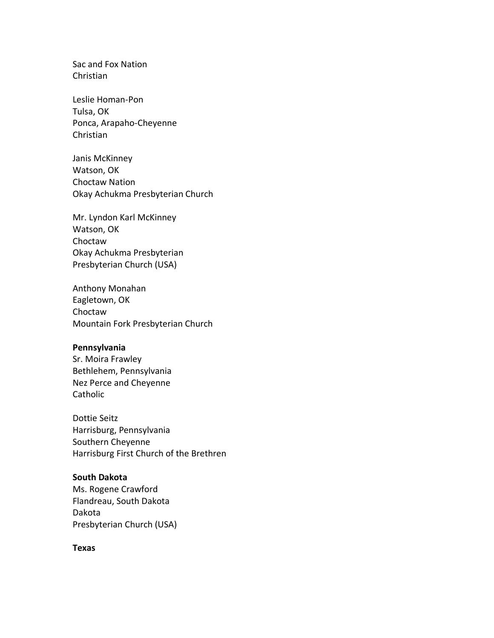Sac and Fox Nation Christian

Leslie Homan-Pon Tulsa, OK Ponca, Arapaho-Cheyenne Christian

Janis McKinney Watson, OK Choctaw Nation Okay Achukma Presbyterian Church

Mr. Lyndon Karl McKinney Watson, OK Choctaw Okay Achukma Presbyterian Presbyterian Church (USA)

Anthony Monahan Eagletown, OK Choctaw Mountain Fork Presbyterian Church

## **Pennsylvania**

Sr. Moira Frawley Bethlehem, Pennsylvania Nez Perce and Cheyenne Catholic

Dottie Seitz Harrisburg, Pennsylvania Southern Cheyenne Harrisburg First Church of the Brethren

# **South Dakota**

Ms. Rogene Crawford Flandreau, South Dakota Dakota Presbyterian Church (USA)

**Texas**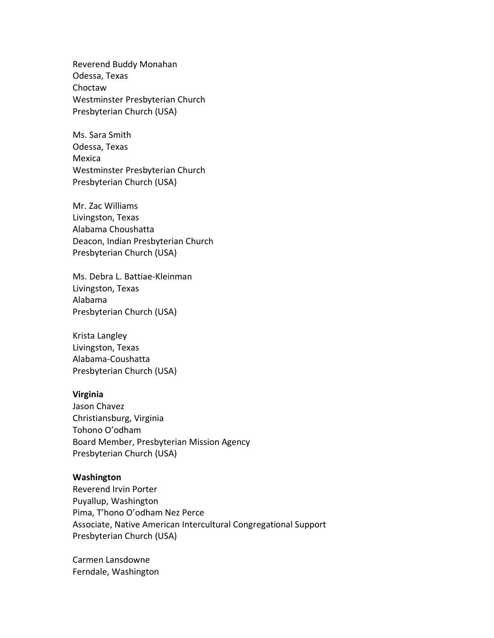Reverend Buddy Monahan Odessa, Texas Choctaw Westminster Presbyterian Church Presbyterian Church (USA)

Ms. Sara Smith Odessa, Texas Mexica Westminster Presbyterian Church Presbyterian Church (USA)

Mr. Zac Williams Livingston, Texas Alabama Choushatta Deacon, Indian Presbyterian Church Presbyterian Church (USA)

Ms. Debra L. Battiae-Kleinman Livingston, Texas Alabama Presbyterian Church (USA)

Krista Langley Livingston, Texas Alabama-Coushatta Presbyterian Church (USA)

## **Virginia**

Jason Chavez Christiansburg, Virginia Tohono O'odham Board Member, Presbyterian Mission Agency Presbyterian Church (USA)

# **Washington**

Reverend Irvin Porter Puyallup, Washington Pima, T'hono O'odham Nez Perce Associate, Native American Intercultural Congregational Support Presbyterian Church (USA)

Carmen Lansdowne Ferndale, Washington